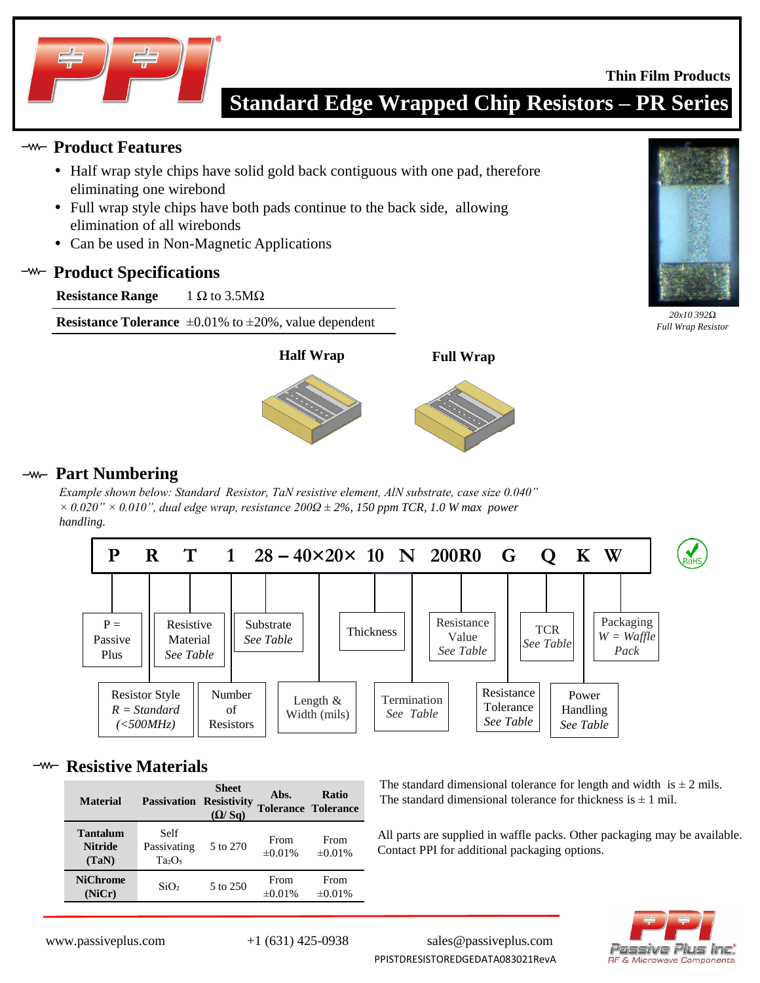

**Thin Film Products**

*20x10 392Ω Full Wrap Resistor*

## **Standard Edge Wrapped Chip Resistors – PR Series**

#### **Product Features**

- Half wrap style chips have solid gold back contiguous with one pad, therefore eliminating one wirebond
- Full wrap style chips have both pads continue to the back side, allowing elimination of all wirebonds
- Can be used in Non-Magnetic Applications

#### **Product Specifications**

**Resistance Range** 1 Ω to 3.5MΩ

**Resistance Tolerance** ±0.01% to ±20%, value dependent

**Half Wrap Full Wrap**



#### **Part Numbering**

*Example shown below: Standard Resistor, TaN resistive element, AlN substrate, case size 0.040" × 0.020" × 0.010", dual edge wrap, resistance 200Ω ± 2%, 150 ppm TCR, 1.0 W max power handling.*



#### **<sup>-w-</sup>** Resistive Materials

| <b>Material</b>                     | <b>Passivation Resistivity</b>   | <b>Sheet</b><br>(Q/Sq) | Abs.                 | <b>Ratio</b><br><b>Tolerance Tolerance</b> |
|-------------------------------------|----------------------------------|------------------------|----------------------|--------------------------------------------|
| Tantalum<br><b>Nitride</b><br>(TaN) | Self<br>Passivating<br>$Ta_2O_5$ | 5 to 270               | From<br>$\pm 0.01\%$ | From<br>$\pm 0.01\%$                       |
| <b>NiChrome</b><br>(NiCr)           | SiO <sub>2</sub>                 | 5 to 250               | From<br>$\pm 0.01\%$ | From<br>$\pm 0.01\%$                       |

The standard dimensional tolerance for length and width is  $\pm 2$  mils. The standard dimensional tolerance for thickness is  $\pm 1$  mil.

All parts are supplied in waffle packs. Other packaging may be available. Contact PPI for additional packaging options.



www.passiveplus.com +1 (631) 425-0938 sales@passiveplus.com PPISTDRESISTOREDGEDATA083021RevA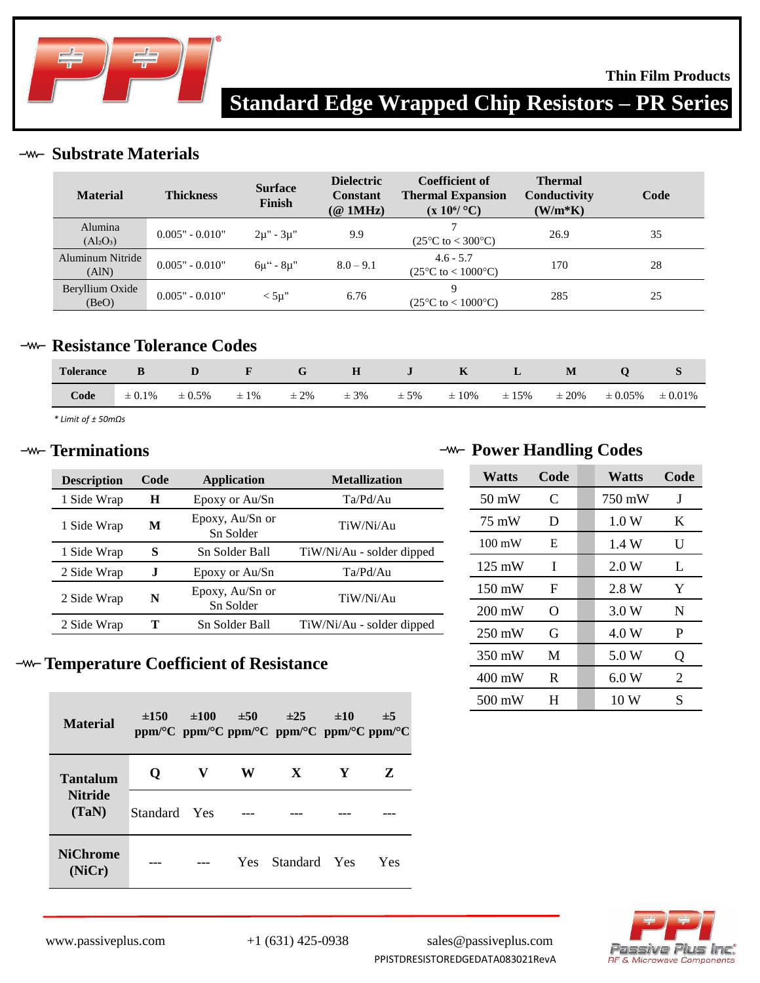

# **Standard Edge Wrapped Chip Resistors – PR Series**

#### **Substrate Materials**

| <b>Material</b>           | <b>Thickness</b>  | <b>Surface</b><br>Finish | <b>Dielectric</b><br><b>Constant</b><br>$(\textcircled{a}$ 1MHz) | Coefficient of<br><b>Thermal Expansion</b><br>$(x 10^6$ °C) | <b>Thermal</b><br>Conductivity<br>$(W/m*K)$ | Code |
|---------------------------|-------------------|--------------------------|------------------------------------------------------------------|-------------------------------------------------------------|---------------------------------------------|------|
| Alumina<br>$(Al_2O_3)$    | $0.005" - 0.010"$ | $2\mu$ " - $3\mu$ "      | 9.9                                                              | $(25^{\circ}C \text{ to } < 300^{\circ}C)$                  | 26.9                                        | 35   |
| Aluminum Nitride<br>(AIN) | $0.005" - 0.010"$ | $6\mu$ " - $8\mu$ "      | $8.0 - 9.1$                                                      | $4.6 - 5.7$<br>$(25^{\circ}C \text{ to } < 1000^{\circ}C)$  | 170                                         | 28   |
| Beryllium Oxide<br>(BeO)  | $0.005" - 0.010"$ | $<$ 5u"                  | 6.76                                                             | Q<br>$(25^{\circ}C \text{ to } 1000^{\circ}C)$              | 285                                         | 25   |

#### **-w- Resistance Tolerance Codes**

|                     |             | and the state of the state of the | G         |          |          | $H$ $J$ $K$ $I$ | $\mathbf{L}$ | M          |              |              |
|---------------------|-------------|-----------------------------------|-----------|----------|----------|-----------------|--------------|------------|--------------|--------------|
| Code<br>$\pm 0.1\%$ | $\pm 0.5\%$ | $\pm 1\%$                         | $\pm 2\%$ | $\pm$ 3% | $\pm$ 5% | $\pm 10\%$      | $\pm 15\%$   | $\pm 20\%$ | $\pm 0.05\%$ | $\pm 0.01\%$ |

*\* Limit of ± 50mΩs*

| <b>Description</b> | Code | <b>Application</b>           | <b>Metallization</b>      |
|--------------------|------|------------------------------|---------------------------|
| 1 Side Wrap        | н    | Epoxy or Au/Sn               | Ta/Pd/Au                  |
| 1 Side Wrap        | M    | Epoxy, Au/Sn or<br>Sn Solder | TiW/Ni/Au                 |
| 1 Side Wrap        | S    | Sn Solder Ball               | TiW/Ni/Au - solder dipped |
| 2 Side Wrap        | J    | Epoxy or Au/Sn               | Ta/Pd/Au                  |
| 2 Side Wrap        | N    | Epoxy, Au/Sn or<br>Sn Solder | TiW/Ni/Au                 |
| 2 Side Wrap        | т    | Sn Solder Ball               | TiW/Ni/Au - solder dipped |

#### **Temperature Coefficient of Resistance**

| <b>Material</b>           | $\pm 150$    | $\pm 100$ | $\pm 50$ | $\pm 25$<br>ppm/°C ppm/°C ppm/°C ppm/°C ppm/°C ppm/°C | ±10 | ±5  |
|---------------------------|--------------|-----------|----------|-------------------------------------------------------|-----|-----|
| Tantalum                  | Ő            | v         | W        | $\mathbf{X}$                                          | Y   | Z   |
| <b>Nitride</b><br>(TaN)   | Standard Yes |           |          |                                                       |     |     |
| <b>NiChrome</b><br>(NiCr) |              |           | Yes.     | Standard Yes                                          |     | Yes |

## **<sup>−∞</sup> Terminations Power Handling Codes**

| Watts            | Code | Watts  | Code |
|------------------|------|--------|------|
| 50 mW            | C    | 750 mW | J    |
| 75 mW            | D    | 1.0 W  | K    |
| $100 \text{ mW}$ | E    | 1.4 W  | U    |
| $125 \text{ mW}$ | T    | 2.0 W  | L    |
| $150 \text{ mW}$ | F    | 2.8 W  | Y    |
| $200 \text{ mW}$ | O    | 3.0 W  | N    |
| $250 \text{ mW}$ | G    | 4.0 W  | P    |
| 350 mW           | M    | 5.0 W  | Q    |
| $400 \text{ mW}$ | R    | 6.0W   | 2    |
| 500 mW           | H    | 10 W   | S    |



www.passiveplus.com +1 (631) 425-0938 sales@passiveplus.com PPISTDRESISTOREDGEDATA083021RevA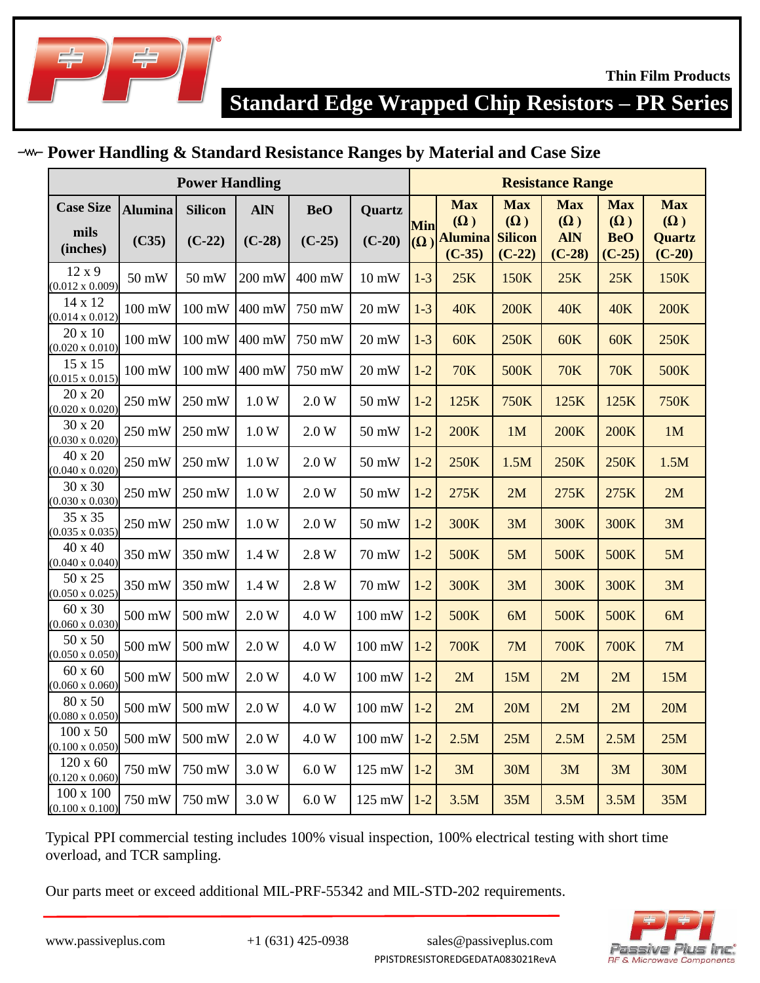

## **Standard Edge Wrapped Chip Resistors – PR Series**

## **Power Handling & Standard Resistance Ranges by Material and Case Size**

| <b>Power Handling</b>                     |                  |                  |                 |            |                         |            |                            |                            | <b>Resistance Range</b>  |                          |                          |
|-------------------------------------------|------------------|------------------|-----------------|------------|-------------------------|------------|----------------------------|----------------------------|--------------------------|--------------------------|--------------------------|
| <b>Case Size</b><br>mils                  | <b>Alumina</b>   | <b>Silicon</b>   | <b>AIN</b>      | <b>BeO</b> | Quartz                  | Min        | <b>Max</b><br>$(\Omega)$   | <b>Max</b><br>$(\Omega)$   | <b>Max</b><br>$(\Omega)$ | <b>Max</b><br>$(\Omega)$ | <b>Max</b><br>$(\Omega)$ |
| (inches)                                  | (C35)            | $(C-22)$         | $(C-28)$        | $(C-25)$   | $(C-20)$                | $(\Omega)$ | <b>Alumina</b><br>$(C-35)$ | <b>Silicon</b><br>$(C-22)$ | <b>AIN</b><br>$(C-28)$   | <b>BeO</b><br>$(C-25)$   | Quartz<br>$(C-20)$       |
| 12 x 9<br>$(0.012 \times 0.009)$          | 50 mW            | 50 mW            | 200 mW          | 400 mW     | $10 \text{ mW}$         | $1 - 3$    | 25K                        | 150K                       | 25K                      | 25K                      | 150K                     |
| 14 x 12<br>$(0.014 \times 0.012)$         | $100 \text{ mW}$ | 100 mW           | 400 mW          | 750 mW     | $20 \text{ mW}$         | $1 - 3$    | <b>40K</b>                 | <b>200K</b>                | <b>40K</b>               | <b>40K</b>               | <b>200K</b>              |
| 20 x 10<br>$(0.020 \times 0.010)$         | $100 \text{ mW}$ | $100 \text{ mW}$ | 400 mW          | 750 mW     | $20 \text{ mW}$         | $1 - 3$    | <b>60K</b>                 | 250K                       | <b>60K</b>               | <b>60K</b>               | 250K                     |
| 15 x 15<br>$(0.015 \times 0.015)$         | $100 \text{ mW}$ | $100 \text{ mW}$ | 400 mW          | 750 mW     | $20 \text{ mW}$         | $1-2$      | <b>70K</b>                 | 500K                       | <b>70K</b>               | <b>70K</b>               | 500K                     |
| 20 x 20<br>$(0.020 \times 0.020)$         | 250 mW           | 250 mW           | 1.0 W           | 2.0 W      | 50 mW                   | $1 - 2$    | 125K                       | <b>750K</b>                | 125K                     | 125K                     | 750K                     |
| 30 x 20<br>$(0.030 \times 0.020)$         | 250 mW           | 250 mW           | $1.0\ \text{W}$ | 2.0 W      | $50\text{ }\mathrm{mW}$ | $1 - 2$    | <b>200K</b>                | 1M                         | <b>200K</b>              | <b>200K</b>              | 1M                       |
| 40 x 20<br>$(0.040 \times 0.020)$         | 250 mW           | 250 mW           | 1.0 W           | 2.0 W      | 50 mW                   | $1-2$      | 250K                       | 1.5M                       | 250K                     | 250K                     | 1.5M                     |
| 30 x 30<br>$(0.030 \times 0.030)$         | 250 mW           | 250 mW           | 1.0 W           | 2.0 W      | 50 mW                   | $1-2$      | 275K                       | 2M                         | 275K                     | 275K                     | 2M                       |
| 35 x 35<br>$(0.035 \times 0.035)$         | 250 mW           | 250 mW           | 1.0 W           | 2.0 W      | 50 mW                   | $1-2$      | 300K                       | 3M                         | 300K                     | 300K                     | 3M                       |
| 40 x 40<br>$(0.040 \times 0.040)$         | 350 mW           | 350 mW           | 1.4 W           | 2.8 W      | 70 mW                   | $1-2$      | <b>500K</b>                | 5M                         | <b>500K</b>              | 500K                     | 5M                       |
| 50 x 25<br>$(0.050 \times 0.025)$         | 350 mW           | 350 mW           | 1.4 W           | 2.8 W      | 70 mW                   | $1-2$      | 300K                       | 3M                         | 300K                     | 300K                     | 3M                       |
| 60 x 30<br>$(0.060 \times 0.030)$         | 500 mW           | 500 mW           | 2.0 W           | 4.0 W      | 100 mW                  | $1-2$      | <b>500K</b>                | 6M                         | 500K                     | <b>500K</b>              | 6M                       |
| 50 x 50<br>$(0.050 \times 0.050)$         | 500 mW           | 500 mW           | 2.0 W           | 4.0 W      | $100 \text{ mW}$        | $1-2$      | <b>700K</b>                | 7M                         | <b>700K</b>              | <b>700K</b>              | 7M                       |
| $60 \times 60$<br>$(0.060 \times 0.060)$  | 500 mW           | 500 mW           | $2.0 W$         | 4.0 W      | 100 mW                  | $1 - 2$    | 2M                         | 15M                        | 2M                       | 2M                       | 15M                      |
| 80 x 50<br>$(0.080 \times 0.050)$         | 500 mW           | 500 mW           | 2.0 W           | 4.0 W      | $100 \text{ mW}$        | $1 - 2$    | 2M                         | 20M                        | 2M                       | 2M                       | 20M                      |
| $100 \times 50$<br>$(0.100 \times 0.050)$ | 500 mW           | 500 mW           | $2.0 W$         | 4.0 W      | $100 \text{ mW}$        | $1-2$      | 2.5M                       | 25M                        | 2.5M                     | 2.5M                     | 25M                      |
| 120 x 60<br>$(0.120 \times 0.060)$        | 750 mW           | 750 mW           | 3.0 W           | 6.0 W      | 125 mW                  | $1-2$      | 3M                         | 30M                        | 3M                       | 3M                       | 30M                      |
| $100 \ge 100$<br>$(0.100 \times 0.100)$   | 750 mW           | 750 mW           | 3.0 W           | 6.0 W      | 125 mW                  | $1-2$      | 3.5M                       | 35M                        | 3.5M                     | 3.5M                     | 35M                      |

Typical PPI commercial testing includes 100% visual inspection, 100% electrical testing with short time overload, and TCR sampling.

Our parts meet or exceed additional MIL-PRF-55342 and MIL-STD-202 requirements.